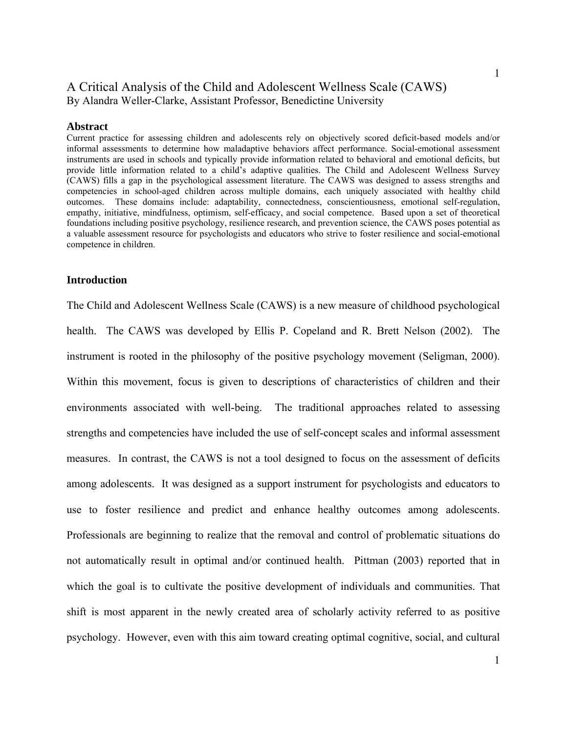# A Critical Analysis of the Child and Adolescent Wellness Scale (CAWS) By Alandra Weller-Clarke, Assistant Professor, Benedictine University

#### **Abstract**

Current practice for assessing children and adolescents rely on objectively scored deficit-based models and/or informal assessments to determine how maladaptive behaviors affect performance. Social-emotional assessment instruments are used in schools and typically provide information related to behavioral and emotional deficits, but provide little information related to a child's adaptive qualities. The Child and Adolescent Wellness Survey (CAWS) fills a gap in the psychological assessment literature. The CAWS was designed to assess strengths and competencies in school-aged children across multiple domains, each uniquely associated with healthy child outcomes. These domains include: adaptability, connectedness, conscientiousness, emotional self-regulation, empathy, initiative, mindfulness, optimism, self-efficacy, and social competence. Based upon a set of theoretical foundations including positive psychology, resilience research, and prevention science, the CAWS poses potential as a valuable assessment resource for psychologists and educators who strive to foster resilience and social-emotional competence in children.

#### **Introduction**

The Child and Adolescent Wellness Scale (CAWS) is a new measure of childhood psychological health. The CAWS was developed by Ellis P. Copeland and R. Brett Nelson (2002). The instrument is rooted in the philosophy of the positive psychology movement (Seligman, 2000). Within this movement, focus is given to descriptions of characteristics of children and their environments associated with well-being. The traditional approaches related to assessing strengths and competencies have included the use of self-concept scales and informal assessment measures. In contrast, the CAWS is not a tool designed to focus on the assessment of deficits among adolescents. It was designed as a support instrument for psychologists and educators to use to foster resilience and predict and enhance healthy outcomes among adolescents. Professionals are beginning to realize that the removal and control of problematic situations do not automatically result in optimal and/or continued health. Pittman (2003) reported that in which the goal is to cultivate the positive development of individuals and communities. That shift is most apparent in the newly created area of scholarly activity referred to as positive psychology. However, even with this aim toward creating optimal cognitive, social, and cultural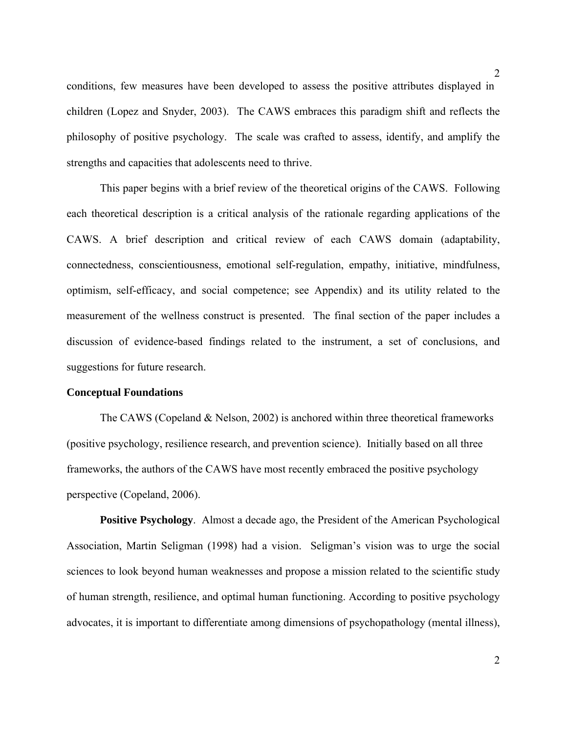conditions, few measures have been developed to assess the positive attributes displayed in children (Lopez and Snyder, 2003). The CAWS embraces this paradigm shift and reflects the philosophy of positive psychology. The scale was crafted to assess, identify, and amplify the strengths and capacities that adolescents need to thrive.

 This paper begins with a brief review of the theoretical origins of the CAWS. Following each theoretical description is a critical analysis of the rationale regarding applications of the CAWS. A brief description and critical review of each CAWS domain (adaptability, connectedness, conscientiousness, emotional self-regulation, empathy, initiative, mindfulness, optimism, self-efficacy, and social competence; see Appendix) and its utility related to the measurement of the wellness construct is presented. The final section of the paper includes a discussion of evidence-based findings related to the instrument, a set of conclusions, and suggestions for future research.

# **Conceptual Foundations**

The CAWS (Copeland  $&$  Nelson, 2002) is anchored within three theoretical frameworks (positive psychology, resilience research, and prevention science). Initially based on all three frameworks, the authors of the CAWS have most recently embraced the positive psychology perspective (Copeland, 2006).

**Positive Psychology**. Almost a decade ago, the President of the American Psychological Association, Martin Seligman (1998) had a vision. Seligman's vision was to urge the social sciences to look beyond human weaknesses and propose a mission related to the scientific study of human strength, resilience, and optimal human functioning. According to positive psychology advocates, it is important to differentiate among dimensions of psychopathology (mental illness),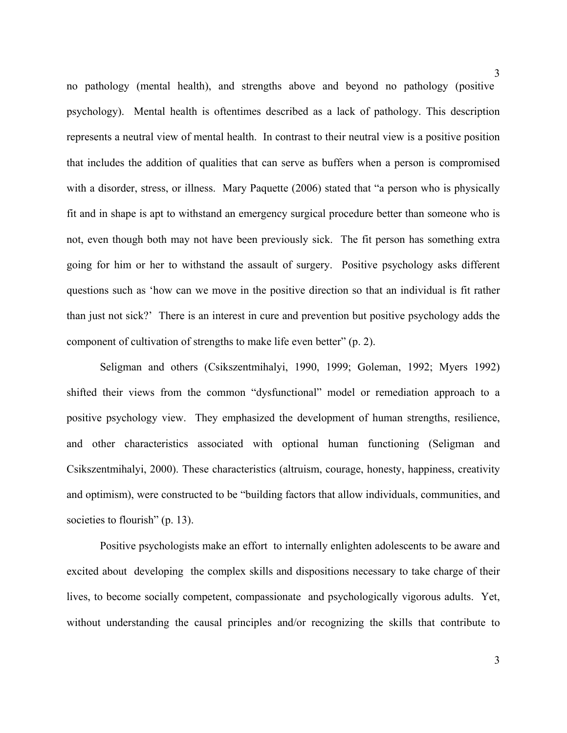no pathology (mental health), and strengths above and beyond no pathology (positive psychology). Mental health is oftentimes described as a lack of pathology. This description represents a neutral view of mental health. In contrast to their neutral view is a positive position that includes the addition of qualities that can serve as buffers when a person is compromised with a disorder, stress, or illness. Mary Paquette (2006) stated that "a person who is physically fit and in shape is apt to withstand an emergency surgical procedure better than someone who is not, even though both may not have been previously sick. The fit person has something extra going for him or her to withstand the assault of surgery. Positive psychology asks different questions such as 'how can we move in the positive direction so that an individual is fit rather than just not sick?' There is an interest in cure and prevention but positive psychology adds the component of cultivation of strengths to make life even better" (p. 2).

Seligman and others (Csikszentmihalyi, 1990, 1999; Goleman, 1992; Myers 1992) shifted their views from the common "dysfunctional" model or remediation approach to a positive psychology view. They emphasized the development of human strengths, resilience, and other characteristics associated with optional human functioning (Seligman and Csikszentmihalyi, 2000). These characteristics (altruism, courage, honesty, happiness, creativity and optimism), were constructed to be "building factors that allow individuals, communities, and societies to flourish" (p. 13).

Positive psychologists make an effort to internally enlighten adolescents to be aware and excited about developing the complex skills and dispositions necessary to take charge of their lives, to become socially competent, compassionate and psychologically vigorous adults. Yet, without understanding the causal principles and/or recognizing the skills that contribute to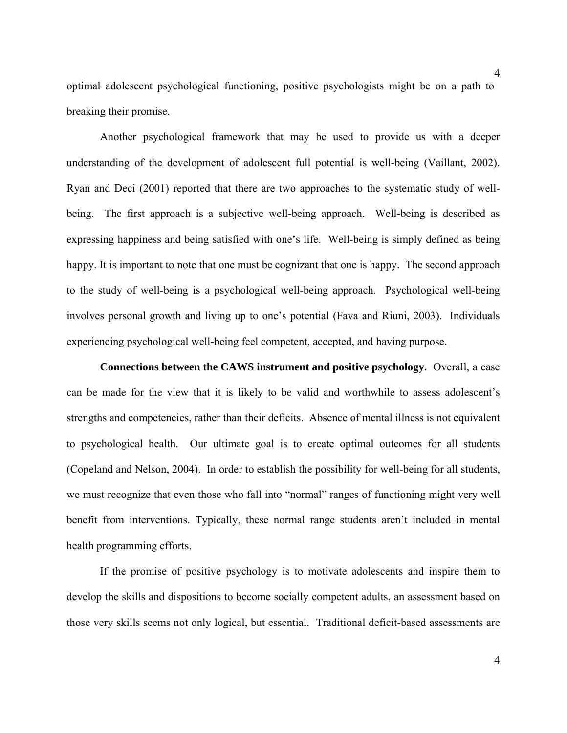optimal adolescent psychological functioning, positive psychologists might be on a path to breaking their promise.

Another psychological framework that may be used to provide us with a deeper understanding of the development of adolescent full potential is well-being (Vaillant, 2002). Ryan and Deci (2001) reported that there are two approaches to the systematic study of wellbeing. The first approach is a subjective well-being approach. Well-being is described as expressing happiness and being satisfied with one's life. Well-being is simply defined as being happy. It is important to note that one must be cognizant that one is happy. The second approach to the study of well-being is a psychological well-being approach. Psychological well-being involves personal growth and living up to one's potential (Fava and Riuni, 2003). Individuals experiencing psychological well-being feel competent, accepted, and having purpose.

 **Connections between the CAWS instrument and positive psychology.** Overall, a case can be made for the view that it is likely to be valid and worthwhile to assess adolescent's strengths and competencies, rather than their deficits. Absence of mental illness is not equivalent to psychological health. Our ultimate goal is to create optimal outcomes for all students (Copeland and Nelson, 2004). In order to establish the possibility for well-being for all students, we must recognize that even those who fall into "normal" ranges of functioning might very well benefit from interventions. Typically, these normal range students aren't included in mental health programming efforts.

If the promise of positive psychology is to motivate adolescents and inspire them to develop the skills and dispositions to become socially competent adults, an assessment based on those very skills seems not only logical, but essential. Traditional deficit-based assessments are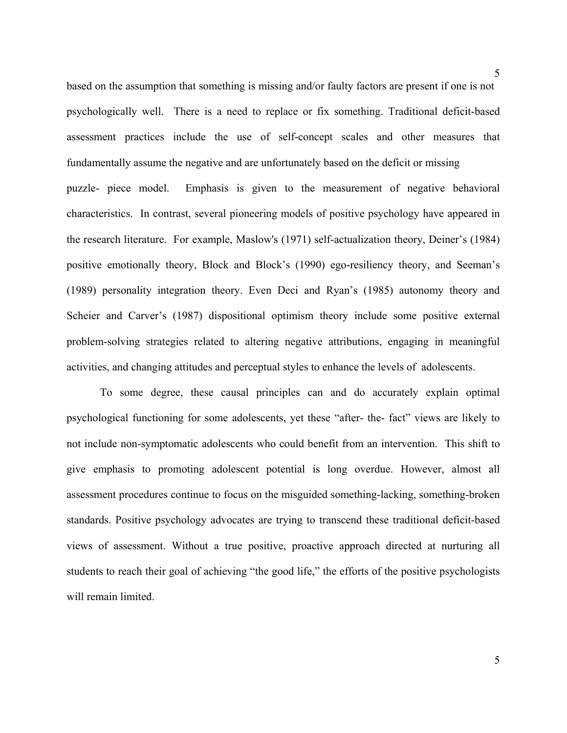based on the assumption that something is missing and/or faulty factors are present if one is not psychologically well. There is a need to replace or fix something. Traditional deficit-based assessment practices include the use of self-concept scales and other measures that fundamentally assume the negative and are unfortunately based on the deficit or missing puzzle- piece model. Emphasis is given to the measurement of negative behavioral characteristics. In contrast, several pioneering models of positive psychology have appeared in the research literature. For example, Maslow's (1971) self-actualization theory, Deiner's (1984) positive emotionally theory, Block and Block's (1990) ego-resiliency theory, and Seeman's (1989) personality integration theory. Even Deci and Ryan's (1985) autonomy theory and Scheier and Carver's (1987) dispositional optimism theory include some positive external problem-solving strategies related to altering negative attributions, engaging in meaningful activities, and changing attitudes and perceptual styles to enhance the levels of adolescents.

 To some degree, these causal principles can and do accurately explain optimal psychological functioning for some adolescents, yet these "after- the- fact" views are likely to not include non-symptomatic adolescents who could benefit from an intervention. This shift to give emphasis to promoting adolescent potential is long overdue. However, almost all assessment procedures continue to focus on the misguided something-lacking, something-broken standards. Positive psychology advocates are trying to transcend these traditional deficit-based views of assessment. Without a true positive, proactive approach directed at nurturing all students to reach their goal of achieving "the good life," the efforts of the positive psychologists will remain limited.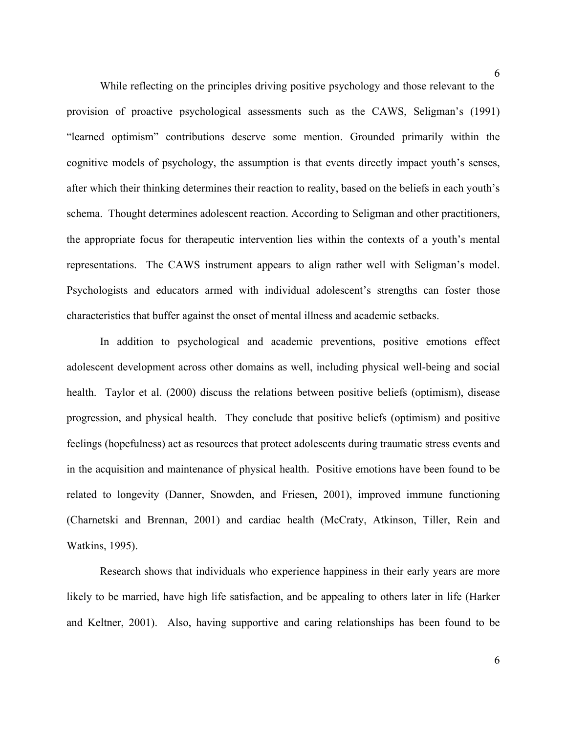While reflecting on the principles driving positive psychology and those relevant to the provision of proactive psychological assessments such as the CAWS, Seligman's (1991) "learned optimism" contributions deserve some mention. Grounded primarily within the cognitive models of psychology, the assumption is that events directly impact youth's senses, after which their thinking determines their reaction to reality, based on the beliefs in each youth's schema. Thought determines adolescent reaction. According to Seligman and other practitioners, the appropriate focus for therapeutic intervention lies within the contexts of a youth's mental representations. The CAWS instrument appears to align rather well with Seligman's model. Psychologists and educators armed with individual adolescent's strengths can foster those characteristics that buffer against the onset of mental illness and academic setbacks.

 In addition to psychological and academic preventions, positive emotions effect adolescent development across other domains as well, including physical well-being and social health. Taylor et al. (2000) discuss the relations between positive beliefs (optimism), disease progression, and physical health. They conclude that positive beliefs (optimism) and positive feelings (hopefulness) act as resources that protect adolescents during traumatic stress events and in the acquisition and maintenance of physical health. Positive emotions have been found to be related to longevity (Danner, Snowden, and Friesen, 2001), improved immune functioning (Charnetski and Brennan, 2001) and cardiac health (McCraty, Atkinson, Tiller, Rein and Watkins, 1995).

Research shows that individuals who experience happiness in their early years are more likely to be married, have high life satisfaction, and be appealing to others later in life (Harker and Keltner, 2001). Also, having supportive and caring relationships has been found to be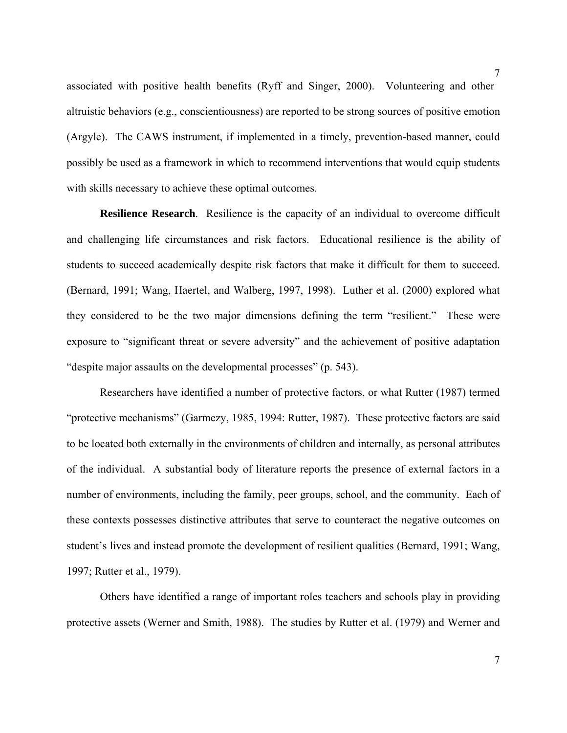associated with positive health benefits (Ryff and Singer, 2000). Volunteering and other altruistic behaviors (e.g., conscientiousness) are reported to be strong sources of positive emotion (Argyle). The CAWS instrument, if implemented in a timely, prevention-based manner, could possibly be used as a framework in which to recommend interventions that would equip students with skills necessary to achieve these optimal outcomes.

**Resilience Research**. Resilience is the capacity of an individual to overcome difficult and challenging life circumstances and risk factors. Educational resilience is the ability of students to succeed academically despite risk factors that make it difficult for them to succeed. (Bernard, 1991; Wang, Haertel, and Walberg, 1997, 1998). Luther et al. (2000) explored what they considered to be the two major dimensions defining the term "resilient." These were exposure to "significant threat or severe adversity" and the achievement of positive adaptation "despite major assaults on the developmental processes" (p. 543).

 Researchers have identified a number of protective factors, or what Rutter (1987) termed "protective mechanisms" (Garmezy, 1985, 1994: Rutter, 1987). These protective factors are said to be located both externally in the environments of children and internally, as personal attributes of the individual. A substantial body of literature reports the presence of external factors in a number of environments, including the family, peer groups, school, and the community. Each of these contexts possesses distinctive attributes that serve to counteract the negative outcomes on student's lives and instead promote the development of resilient qualities (Bernard, 1991; Wang, 1997; Rutter et al., 1979).

 Others have identified a range of important roles teachers and schools play in providing protective assets (Werner and Smith, 1988). The studies by Rutter et al. (1979) and Werner and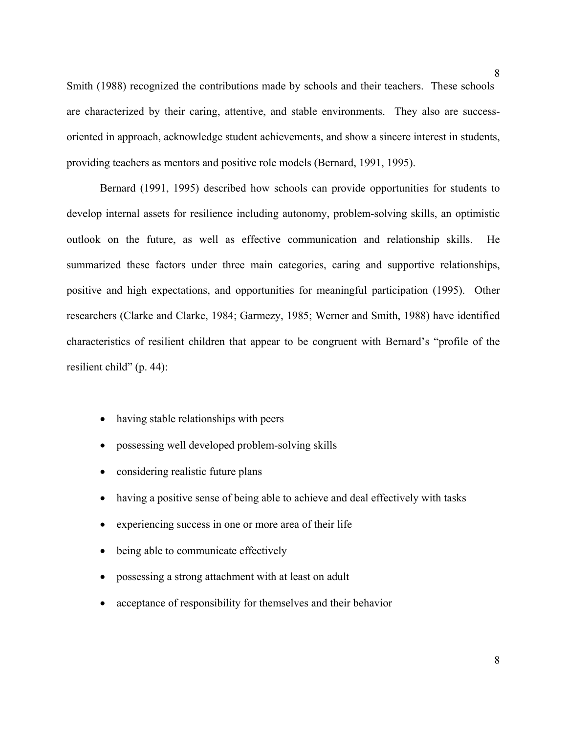Smith (1988) recognized the contributions made by schools and their teachers. These schools are characterized by their caring, attentive, and stable environments. They also are successoriented in approach, acknowledge student achievements, and show a sincere interest in students, providing teachers as mentors and positive role models (Bernard, 1991, 1995).

 Bernard (1991, 1995) described how schools can provide opportunities for students to develop internal assets for resilience including autonomy, problem-solving skills, an optimistic outlook on the future, as well as effective communication and relationship skills. He summarized these factors under three main categories, caring and supportive relationships, positive and high expectations, and opportunities for meaningful participation (1995). Other researchers (Clarke and Clarke, 1984; Garmezy, 1985; Werner and Smith, 1988) have identified characteristics of resilient children that appear to be congruent with Bernard's "profile of the resilient child" (p. 44):

- having stable relationships with peers
- possessing well developed problem-solving skills
- considering realistic future plans
- having a positive sense of being able to achieve and deal effectively with tasks
- experiencing success in one or more area of their life
- being able to communicate effectively
- possessing a strong attachment with at least on adult
- acceptance of responsibility for themselves and their behavior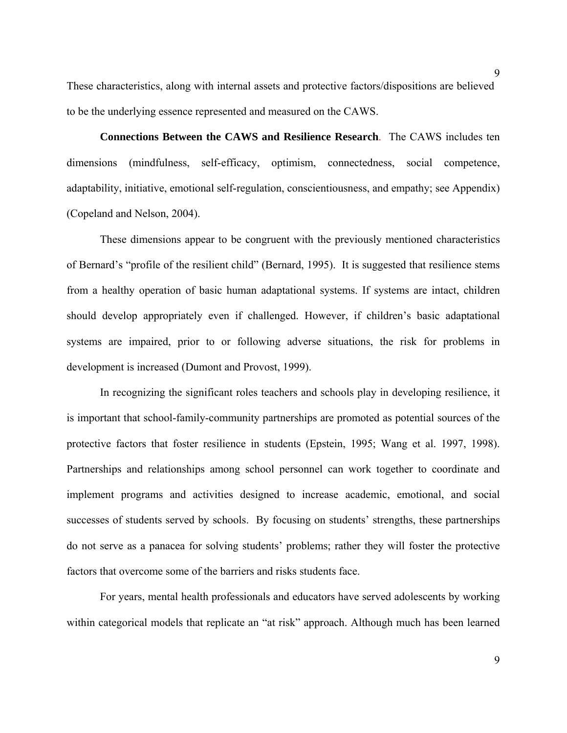These characteristics, along with internal assets and protective factors/dispositions are believed to be the underlying essence represented and measured on the CAWS.

 **Connections Between the CAWS and Resilience Research**. The CAWS includes ten dimensions (mindfulness, self-efficacy, optimism, connectedness, social competence, adaptability, initiative, emotional self-regulation, conscientiousness, and empathy; see Appendix) (Copeland and Nelson, 2004).

 These dimensions appear to be congruent with the previously mentioned characteristics of Bernard's "profile of the resilient child" (Bernard, 1995). It is suggested that resilience stems from a healthy operation of basic human adaptational systems. If systems are intact, children should develop appropriately even if challenged. However, if children's basic adaptational systems are impaired, prior to or following adverse situations, the risk for problems in development is increased (Dumont and Provost, 1999).

 In recognizing the significant roles teachers and schools play in developing resilience, it is important that school-family-community partnerships are promoted as potential sources of the protective factors that foster resilience in students (Epstein, 1995; Wang et al. 1997, 1998). Partnerships and relationships among school personnel can work together to coordinate and implement programs and activities designed to increase academic, emotional, and social successes of students served by schools. By focusing on students' strengths, these partnerships do not serve as a panacea for solving students' problems; rather they will foster the protective factors that overcome some of the barriers and risks students face.

 For years, mental health professionals and educators have served adolescents by working within categorical models that replicate an "at risk" approach. Although much has been learned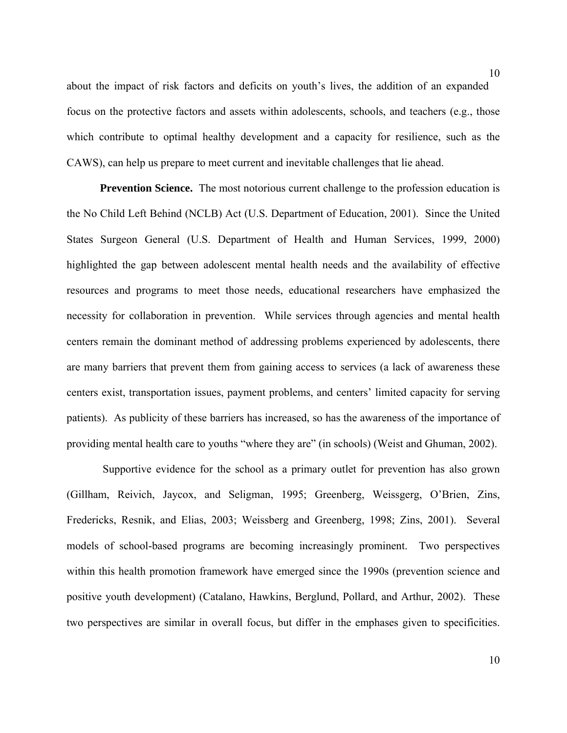about the impact of risk factors and deficits on youth's lives, the addition of an expanded focus on the protective factors and assets within adolescents, schools, and teachers (e.g., those which contribute to optimal healthy development and a capacity for resilience, such as the CAWS), can help us prepare to meet current and inevitable challenges that lie ahead.

**Prevention Science.** The most notorious current challenge to the profession education is the No Child Left Behind (NCLB) Act (U.S. Department of Education, 2001). Since the United States Surgeon General (U.S. Department of Health and Human Services, 1999, 2000) highlighted the gap between adolescent mental health needs and the availability of effective resources and programs to meet those needs, educational researchers have emphasized the necessity for collaboration in prevention. While services through agencies and mental health centers remain the dominant method of addressing problems experienced by adolescents, there are many barriers that prevent them from gaining access to services (a lack of awareness these centers exist, transportation issues, payment problems, and centers' limited capacity for serving patients). As publicity of these barriers has increased, so has the awareness of the importance of providing mental health care to youths "where they are" (in schools) (Weist and Ghuman, 2002).

 Supportive evidence for the school as a primary outlet for prevention has also grown (Gillham, Reivich, Jaycox, and Seligman, 1995; Greenberg, Weissgerg, O'Brien, Zins, Fredericks, Resnik, and Elias, 2003; Weissberg and Greenberg, 1998; Zins, 2001). Several models of school-based programs are becoming increasingly prominent. Two perspectives within this health promotion framework have emerged since the 1990s (prevention science and positive youth development) (Catalano, Hawkins, Berglund, Pollard, and Arthur, 2002). These two perspectives are similar in overall focus, but differ in the emphases given to specificities.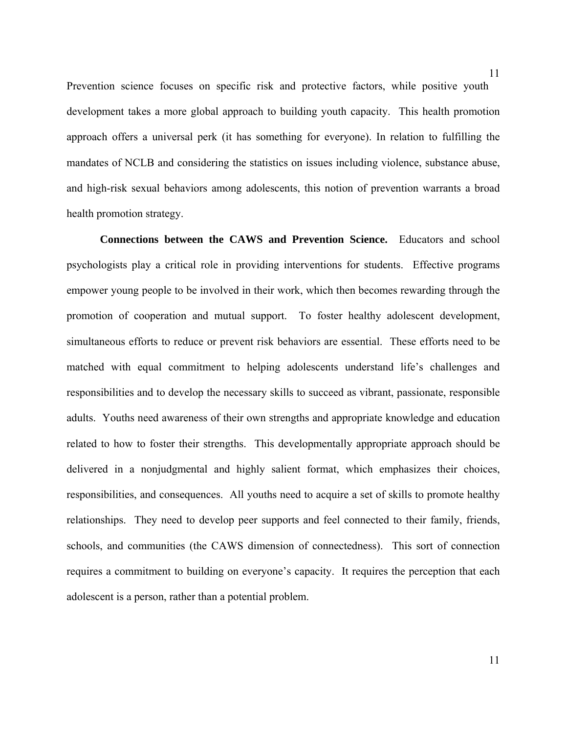Prevention science focuses on specific risk and protective factors, while positive youth development takes a more global approach to building youth capacity. This health promotion approach offers a universal perk (it has something for everyone). In relation to fulfilling the mandates of NCLB and considering the statistics on issues including violence, substance abuse, and high-risk sexual behaviors among adolescents, this notion of prevention warrants a broad health promotion strategy.

 **Connections between the CAWS and Prevention Science.** Educators and school psychologists play a critical role in providing interventions for students. Effective programs empower young people to be involved in their work, which then becomes rewarding through the promotion of cooperation and mutual support. To foster healthy adolescent development, simultaneous efforts to reduce or prevent risk behaviors are essential. These efforts need to be matched with equal commitment to helping adolescents understand life's challenges and responsibilities and to develop the necessary skills to succeed as vibrant, passionate, responsible adults. Youths need awareness of their own strengths and appropriate knowledge and education related to how to foster their strengths. This developmentally appropriate approach should be delivered in a nonjudgmental and highly salient format, which emphasizes their choices, responsibilities, and consequences. All youths need to acquire a set of skills to promote healthy relationships. They need to develop peer supports and feel connected to their family, friends, schools, and communities (the CAWS dimension of connectedness). This sort of connection requires a commitment to building on everyone's capacity. It requires the perception that each adolescent is a person, rather than a potential problem.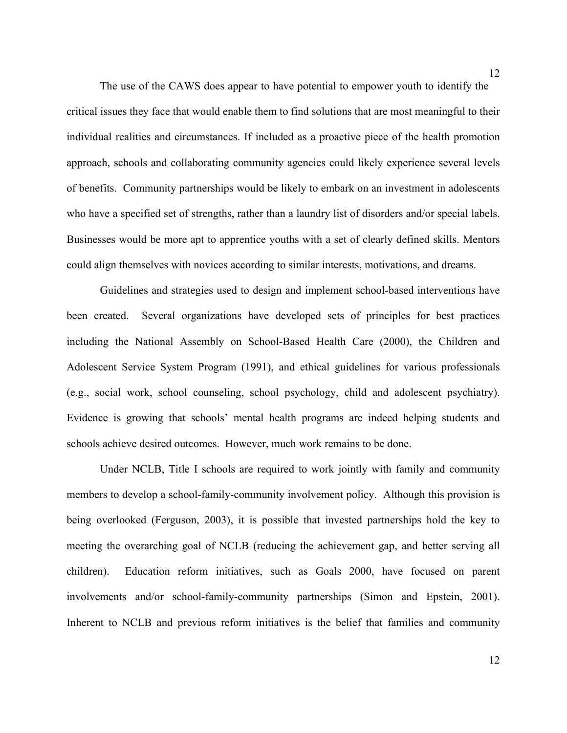The use of the CAWS does appear to have potential to empower youth to identify the critical issues they face that would enable them to find solutions that are most meaningful to their individual realities and circumstances. If included as a proactive piece of the health promotion approach, schools and collaborating community agencies could likely experience several levels of benefits. Community partnerships would be likely to embark on an investment in adolescents who have a specified set of strengths, rather than a laundry list of disorders and/or special labels. Businesses would be more apt to apprentice youths with a set of clearly defined skills. Mentors could align themselves with novices according to similar interests, motivations, and dreams.

 Guidelines and strategies used to design and implement school-based interventions have been created. Several organizations have developed sets of principles for best practices including the National Assembly on School-Based Health Care (2000), the Children and Adolescent Service System Program (1991), and ethical guidelines for various professionals (e.g., social work, school counseling, school psychology, child and adolescent psychiatry). Evidence is growing that schools' mental health programs are indeed helping students and schools achieve desired outcomes. However, much work remains to be done.

Under NCLB, Title I schools are required to work jointly with family and community members to develop a school-family-community involvement policy. Although this provision is being overlooked (Ferguson, 2003), it is possible that invested partnerships hold the key to meeting the overarching goal of NCLB (reducing the achievement gap, and better serving all children). Education reform initiatives, such as Goals 2000, have focused on parent involvements and/or school-family-community partnerships (Simon and Epstein, 2001). Inherent to NCLB and previous reform initiatives is the belief that families and community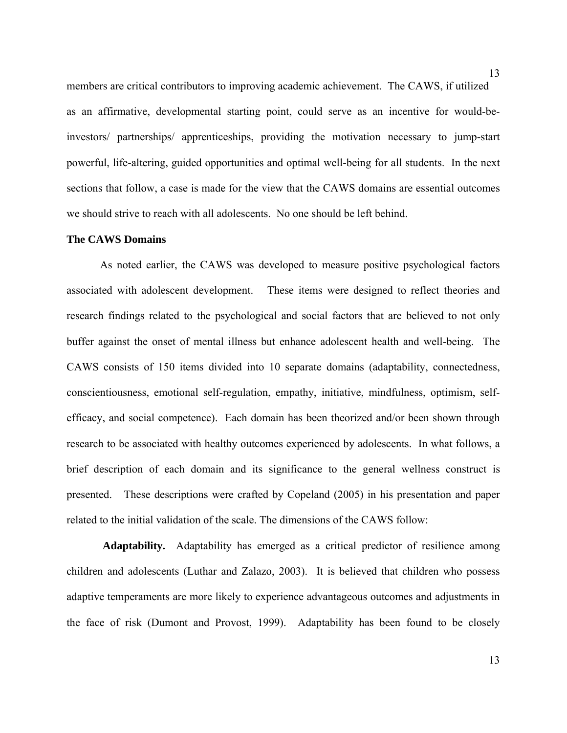members are critical contributors to improving academic achievement. The CAWS, if utilized as an affirmative, developmental starting point, could serve as an incentive for would-beinvestors/ partnerships/ apprenticeships, providing the motivation necessary to jump-start powerful, life-altering, guided opportunities and optimal well-being for all students. In the next sections that follow, a case is made for the view that the CAWS domains are essential outcomes we should strive to reach with all adolescents. No one should be left behind.

# **The CAWS Domains**

 As noted earlier, the CAWS was developed to measure positive psychological factors associated with adolescent development. These items were designed to reflect theories and research findings related to the psychological and social factors that are believed to not only buffer against the onset of mental illness but enhance adolescent health and well-being. The CAWS consists of 150 items divided into 10 separate domains (adaptability, connectedness, conscientiousness, emotional self-regulation, empathy, initiative, mindfulness, optimism, selfefficacy, and social competence). Each domain has been theorized and/or been shown through research to be associated with healthy outcomes experienced by adolescents. In what follows, a brief description of each domain and its significance to the general wellness construct is presented. These descriptions were crafted by Copeland (2005) in his presentation and paper related to the initial validation of the scale. The dimensions of the CAWS follow:

**Adaptability.**Adaptability has emerged as a critical predictor of resilience among children and adolescents (Luthar and Zalazo, 2003). It is believed that children who possess adaptive temperaments are more likely to experience advantageous outcomes and adjustments in the face of risk (Dumont and Provost, 1999). Adaptability has been found to be closely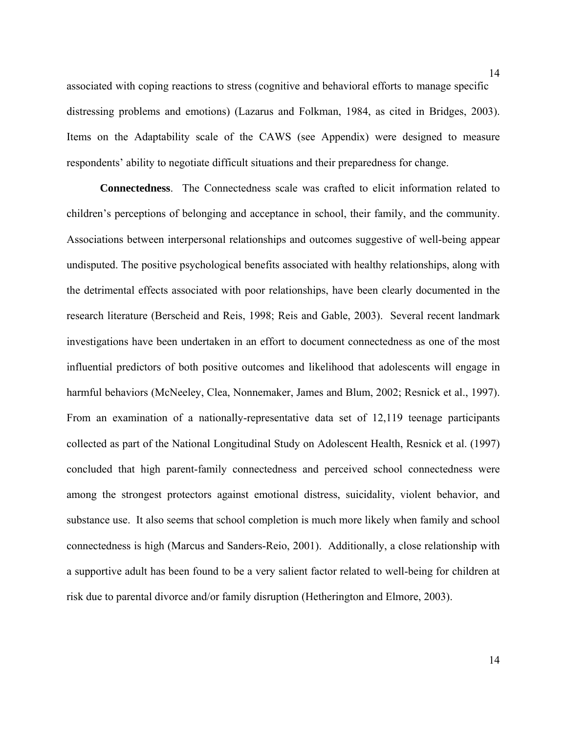associated with coping reactions to stress (cognitive and behavioral efforts to manage specific distressing problems and emotions) (Lazarus and Folkman, 1984, as cited in Bridges, 2003). Items on the Adaptability scale of the CAWS (see Appendix) were designed to measure respondents' ability to negotiate difficult situations and their preparedness for change.

**Connectedness**.The Connectedness scale was crafted to elicit information related to children's perceptions of belonging and acceptance in school, their family, and the community. Associations between interpersonal relationships and outcomes suggestive of well-being appear undisputed. The positive psychological benefits associated with healthy relationships, along with the detrimental effects associated with poor relationships, have been clearly documented in the research literature (Berscheid and Reis, 1998; Reis and Gable, 2003). Several recent landmark investigations have been undertaken in an effort to document connectedness as one of the most influential predictors of both positive outcomes and likelihood that adolescents will engage in harmful behaviors (McNeeley, Clea, Nonnemaker, James and Blum, 2002; Resnick et al., 1997). From an examination of a nationally-representative data set of 12,119 teenage participants collected as part of the National Longitudinal Study on Adolescent Health, Resnick et al. (1997) concluded that high parent-family connectedness and perceived school connectedness were among the strongest protectors against emotional distress, suicidality, violent behavior, and substance use. It also seems that school completion is much more likely when family and school connectedness is high (Marcus and Sanders-Reio, 2001). Additionally, a close relationship with a supportive adult has been found to be a very salient factor related to well-being for children at risk due to parental divorce and/or family disruption (Hetherington and Elmore, 2003).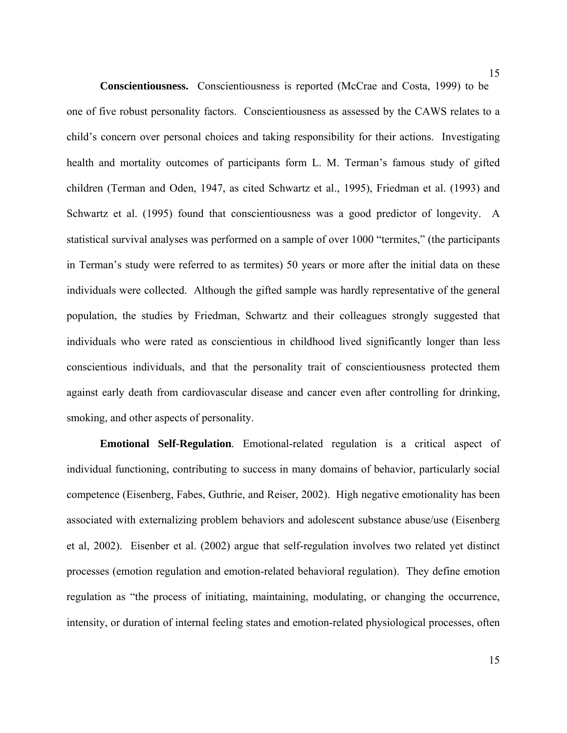**Conscientiousness.** Conscientiousness is reported (McCrae and Costa, 1999) to be one of five robust personality factors. Conscientiousness as assessed by the CAWS relates to a child's concern over personal choices and taking responsibility for their actions. Investigating health and mortality outcomes of participants form L. M. Terman's famous study of gifted children (Terman and Oden, 1947, as cited Schwartz et al., 1995), Friedman et al. (1993) and Schwartz et al. (1995) found that conscientiousness was a good predictor of longevity. A statistical survival analyses was performed on a sample of over 1000 "termites," (the participants in Terman's study were referred to as termites) 50 years or more after the initial data on these individuals were collected. Although the gifted sample was hardly representative of the general population, the studies by Friedman, Schwartz and their colleagues strongly suggested that individuals who were rated as conscientious in childhood lived significantly longer than less conscientious individuals, and that the personality trait of conscientiousness protected them against early death from cardiovascular disease and cancer even after controlling for drinking, smoking, and other aspects of personality.

**Emotional Self-Regulation***.* Emotional-related regulation is a critical aspect of individual functioning, contributing to success in many domains of behavior, particularly social competence (Eisenberg, Fabes, Guthrie, and Reiser, 2002). High negative emotionality has been associated with externalizing problem behaviors and adolescent substance abuse/use (Eisenberg et al, 2002). Eisenber et al. (2002) argue that self-regulation involves two related yet distinct processes (emotion regulation and emotion-related behavioral regulation). They define emotion regulation as "the process of initiating, maintaining, modulating, or changing the occurrence, intensity, or duration of internal feeling states and emotion-related physiological processes, often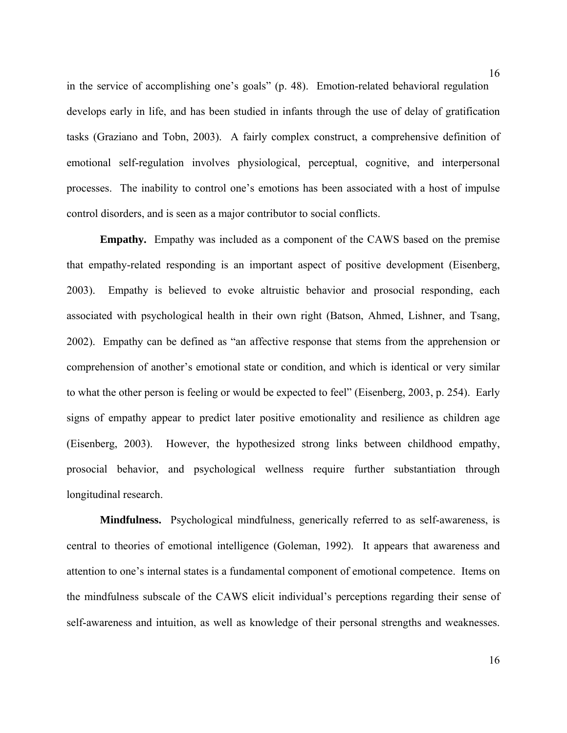in the service of accomplishing one's goals" (p. 48). Emotion-related behavioral regulation develops early in life, and has been studied in infants through the use of delay of gratification tasks (Graziano and Tobn, 2003). A fairly complex construct, a comprehensive definition of emotional self-regulation involves physiological, perceptual, cognitive, and interpersonal processes. The inability to control one's emotions has been associated with a host of impulse control disorders, and is seen as a major contributor to social conflicts.

**Empathy.**Empathy was included as a component of the CAWS based on the premise that empathy-related responding is an important aspect of positive development (Eisenberg, 2003). Empathy is believed to evoke altruistic behavior and prosocial responding, each associated with psychological health in their own right (Batson, Ahmed, Lishner, and Tsang, 2002). Empathy can be defined as "an affective response that stems from the apprehension or comprehension of another's emotional state or condition, and which is identical or very similar to what the other person is feeling or would be expected to feel" (Eisenberg, 2003, p. 254). Early signs of empathy appear to predict later positive emotionality and resilience as children age (Eisenberg, 2003). However, the hypothesized strong links between childhood empathy, prosocial behavior, and psychological wellness require further substantiation through longitudinal research.

**Mindfulness.** Psychological mindfulness, generically referred to as self-awareness, is central to theories of emotional intelligence (Goleman, 1992). It appears that awareness and attention to one's internal states is a fundamental component of emotional competence. Items on the mindfulness subscale of the CAWS elicit individual's perceptions regarding their sense of self-awareness and intuition, as well as knowledge of their personal strengths and weaknesses.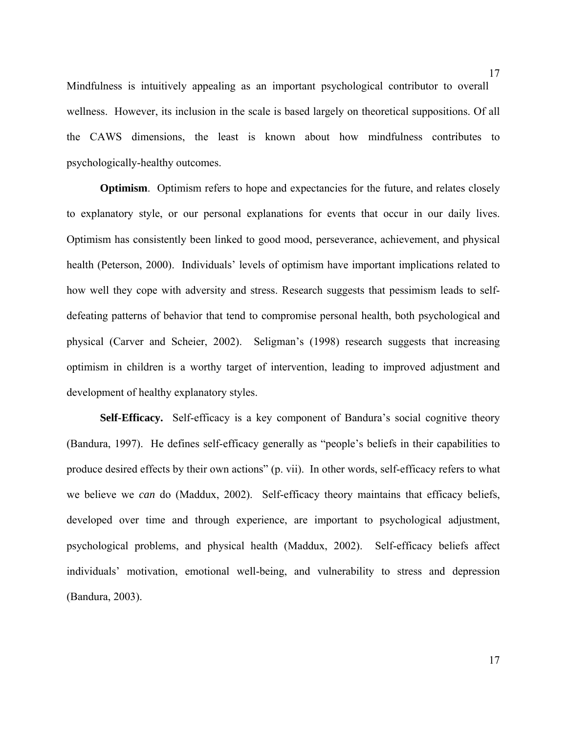Mindfulness is intuitively appealing as an important psychological contributor to overall wellness. However, its inclusion in the scale is based largely on theoretical suppositions. Of all the CAWS dimensions, the least is known about how mindfulness contributes to psychologically-healthy outcomes.

**Optimism**. Optimism refers to hope and expectancies for the future, and relates closely to explanatory style, or our personal explanations for events that occur in our daily lives. Optimism has consistently been linked to good mood, perseverance, achievement, and physical health (Peterson, 2000). Individuals' levels of optimism have important implications related to how well they cope with adversity and stress. Research suggests that pessimism leads to selfdefeating patterns of behavior that tend to compromise personal health, both psychological and physical (Carver and Scheier, 2002). Seligman's (1998) research suggests that increasing optimism in children is a worthy target of intervention, leading to improved adjustment and development of healthy explanatory styles.

**Self-Efficacy.** Self-efficacy is a key component of Bandura's social cognitive theory (Bandura, 1997). He defines self-efficacy generally as "people's beliefs in their capabilities to produce desired effects by their own actions" (p. vii). In other words, self-efficacy refers to what we believe we *can* do (Maddux, 2002). Self-efficacy theory maintains that efficacy beliefs, developed over time and through experience, are important to psychological adjustment, psychological problems, and physical health (Maddux, 2002). Self-efficacy beliefs affect individuals' motivation, emotional well-being, and vulnerability to stress and depression (Bandura, 2003).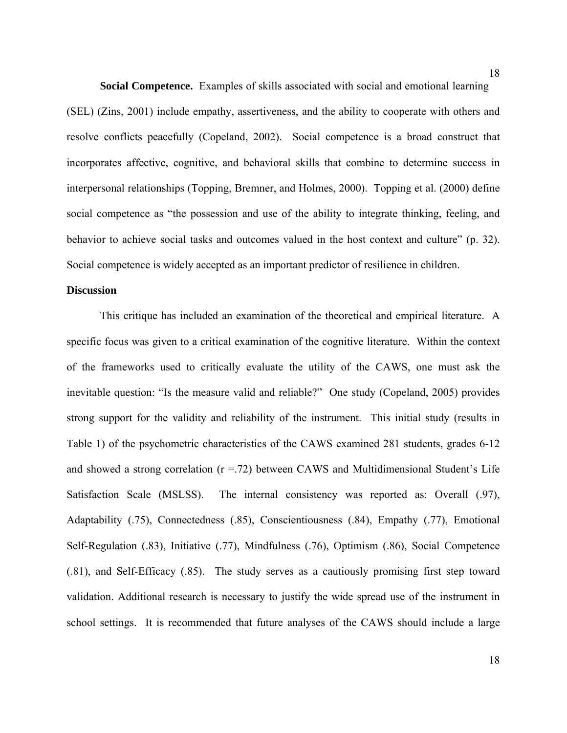**Social Competence.** Examples of skills associated with social and emotional learning (SEL) (Zins, 2001) include empathy, assertiveness, and the ability to cooperate with others and resolve conflicts peacefully (Copeland, 2002). Social competence is a broad construct that incorporates affective, cognitive, and behavioral skills that combine to determine success in interpersonal relationships (Topping, Bremner, and Holmes, 2000). Topping et al. (2000) define social competence as "the possession and use of the ability to integrate thinking, feeling, and behavior to achieve social tasks and outcomes valued in the host context and culture" (p. 32). Social competence is widely accepted as an important predictor of resilience in children.

#### **Discussion**

 This critique has included an examination of the theoretical and empirical literature. A specific focus was given to a critical examination of the cognitive literature. Within the context of the frameworks used to critically evaluate the utility of the CAWS, one must ask the inevitable question: "Is the measure valid and reliable?" One study (Copeland, 2005) provides strong support for the validity and reliability of the instrument. This initial study (results in Table 1) of the psychometric characteristics of the CAWS examined 281 students, grades 6-12 and showed a strong correlation  $(r = .72)$  between CAWS and Multidimensional Student's Life Satisfaction Scale (MSLSS). The internal consistency was reported as: Overall (.97), Adaptability (.75), Connectedness (.85), Conscientiousness (.84), Empathy (.77), Emotional Self-Regulation (.83), Initiative (.77), Mindfulness (.76), Optimism (.86), Social Competence (.81), and Self-Efficacy (.85). The study serves as a cautiously promising first step toward validation. Additional research is necessary to justify the wide spread use of the instrument in school settings. It is recommended that future analyses of the CAWS should include a large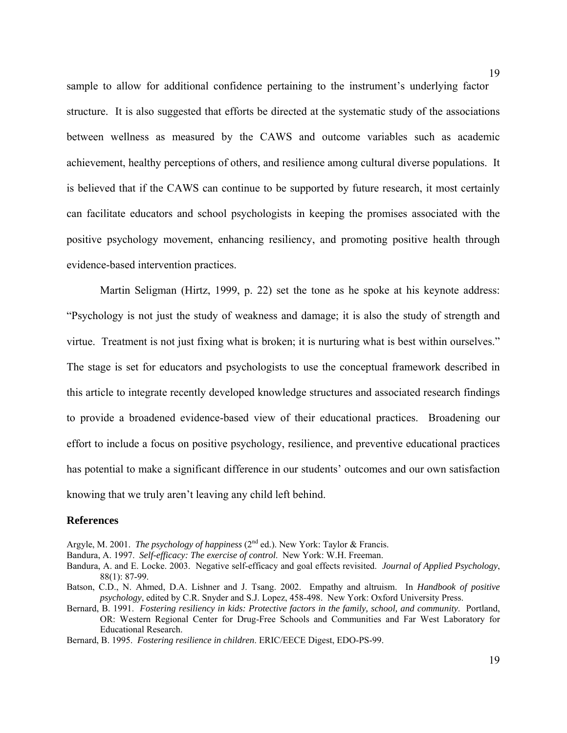sample to allow for additional confidence pertaining to the instrument's underlying factor structure. It is also suggested that efforts be directed at the systematic study of the associations between wellness as measured by the CAWS and outcome variables such as academic achievement, healthy perceptions of others, and resilience among cultural diverse populations. It is believed that if the CAWS can continue to be supported by future research, it most certainly can facilitate educators and school psychologists in keeping the promises associated with the positive psychology movement, enhancing resiliency, and promoting positive health through evidence-based intervention practices.

Martin Seligman (Hirtz, 1999, p. 22) set the tone as he spoke at his keynote address: "Psychology is not just the study of weakness and damage; it is also the study of strength and virtue. Treatment is not just fixing what is broken; it is nurturing what is best within ourselves." The stage is set for educators and psychologists to use the conceptual framework described in this article to integrate recently developed knowledge structures and associated research findings to provide a broadened evidence-based view of their educational practices. Broadening our effort to include a focus on positive psychology, resilience, and preventive educational practices has potential to make a significant difference in our students' outcomes and our own satisfaction knowing that we truly aren't leaving any child left behind.

#### **References**

Argyle, M. 2001. *The psychology of happiness* (2<sup>nd</sup> ed.). New York: Taylor & Francis.

Bandura, A. 1997. *Self-efficacy: The exercise of control*. New York: W.H. Freeman.

Bandura, A. and E. Locke. 2003. Negative self-efficacy and goal effects revisited. *Journal of Applied Psychology*, 88(1): 87-99.

Batson, C.D., N. Ahmed, D.A. Lishner and J. Tsang. 2002. Empathy and altruism. In *Handbook of positive psychology*, edited by C.R. Snyder and S.J. Lopez, 458-498. New York: Oxford University Press.

Bernard, B. 1991. *Fostering resiliency in kids: Protective factors in the family, school, and community*. Portland, OR: Western Regional Center for Drug-Free Schools and Communities and Far West Laboratory for Educational Research.

Bernard, B. 1995. *Fostering resilience in children*. ERIC/EECE Digest, EDO-PS-99.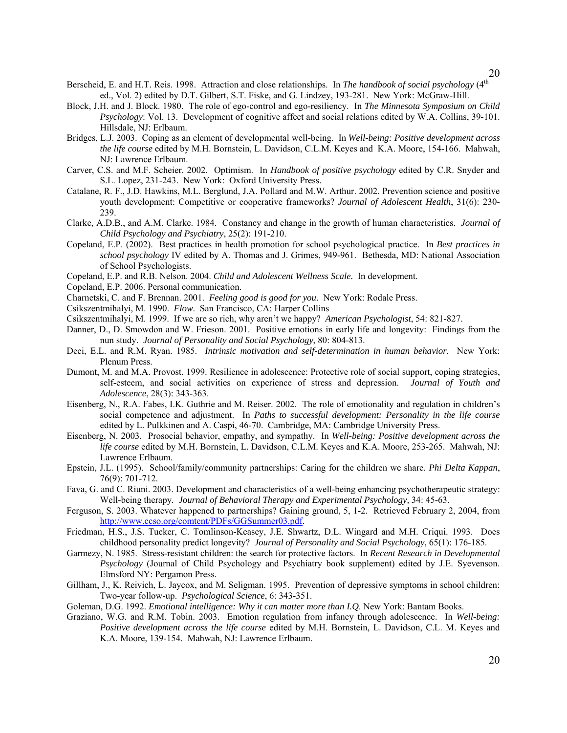- Berscheid, E. and H.T. Reis. 1998. Attraction and close relationships. In *The handbook of social psychology* (4th ed., Vol. 2) edited by D.T. Gilbert, S.T. Fiske, and G. Lindzey, 193-281. New York: McGraw-Hill.
- Block, J.H. and J. Block. 1980. The role of ego-control and ego-resiliency. In *The Minnesota Symposium on Child Psychology*: Vol. 13. Development of cognitive affect and social relations edited by W.A. Collins, 39-101. Hillsdale, NJ: Erlbaum.
- Bridges, L.J. 2003. Coping as an element of developmental well-being. In *Well-being: Positive development across the life course* edited by M.H. Bornstein, L. Davidson, C.L.M. Keyes and K.A. Moore, 154-166. Mahwah, NJ: Lawrence Erlbaum.
- Carver, C.S. and M.F. Scheier. 2002. Optimism. In *Handbook of positive psychology* edited by C.R. Snyder and S.L. Lopez, 231-243. New York: Oxford University Press.
- Catalane, R. F., J.D. Hawkins, M.L. Berglund, J.A. Pollard and M.W. Arthur. 2002. Prevention science and positive youth development: Competitive or cooperative frameworks? *Journal of Adolescent Health*, 31(6): 230- 239.
- Clarke, A.D.B., and A.M. Clarke. 1984. Constancy and change in the growth of human characteristics. *Journal of Child Psychology and Psychiatry*, 25(2): 191-210.
- Copeland, E.P. (2002). Best practices in health promotion for school psychological practice. In *Best practices in school psychology* IV edited by A. Thomas and J. Grimes, 949-961. Bethesda, MD: National Association of School Psychologists.
- Copeland, E.P. and R.B. Nelson. 2004. *Child and Adolescent Wellness Scale.* In development.
- Copeland, E.P. 2006. Personal communication.
- Charnetski, C. and F. Brennan. 2001. *Feeling good is good for you*. New York: Rodale Press.
- Csikszentmihalyi, M. 1990. *Flow*. San Francisco, CA: Harper Collins
- Csikszentmihalyi, M. 1999. If we are so rich, why aren't we happy? *American Psychologist*, 54: 821-827.
- Danner, D., D. Smowdon and W. Frieson. 2001. Positive emotions in early life and longevity: Findings from the nun study. *Journal of Personality and Social Psychology*, 80: 804-813.
- Deci, E.L. and R.M. Ryan. 1985. *Intrinsic motivation and self-determination in human behavior*. New York: Plenum Press.
- Dumont, M. and M.A. Provost. 1999. Resilience in adolescence: Protective role of social support, coping strategies, self-esteem, and social activities on experience of stress and depression. *Journal of Youth and Adolescence*, 28(3): 343-363.
- Eisenberg, N., R.A. Fabes, I.K. Guthrie and M. Reiser. 2002. The role of emotionality and regulation in children's social competence and adjustment. In *Paths to successful development: Personality in the life course* edited by L. Pulkkinen and A. Caspi, 46-70. Cambridge, MA: Cambridge University Press.
- Eisenberg, N. 2003. Prosocial behavior, empathy, and sympathy. In *Well-being: Positive development across the life course* edited by M.H. Bornstein, L. Davidson, C.L.M. Keyes and K.A. Moore, 253-265. Mahwah, NJ: Lawrence Erlbaum.
- Epstein, J.L. (1995). School/family/community partnerships: Caring for the children we share. *Phi Delta Kappan*, 76(9): 701-712.
- Fava, G. and C. Riuni. 2003. Development and characteristics of a well-being enhancing psychotherapeutic strategy: Well-being therapy*. Journal of Behavioral Therapy and Experimental Psychology,* 34: 45-63.
- Ferguson, S. 2003. Whatever happened to partnerships? Gaining ground, 5, 1-2. Retrieved February 2, 2004, from [http://www.ccso.org/comtent/PDFs/GGSummer03.pdf.](http://www.ccso.org/comtent/PDFs/GGSummer03.pdf)
- Friedman, H.S., J.S. Tucker, C. Tomlinson-Keasey, J.E. Shwartz, D.L. Wingard and M.H. Criqui. 1993. Does childhood personality predict longevity? *Journal of Personality and Social Psychology,* 65(1): 176-185.
- Garmezy, N. 1985. Stress-resistant children: the search for protective factors. In *Recent Research in Developmental Psychology* (Journal of Child Psychology and Psychiatry book supplement) edited by J.E. Syevenson. Elmsford NY: Pergamon Press.
- Gillham, J., K. Reivich, L. Jaycox, and M. Seligman. 1995. Prevention of depressive symptoms in school children: Two-year follow-up. *Psychological Science*, 6: 343-351.
- Goleman, D.G. 1992. *Emotional intelligence: Why it can matter more than I.Q*. New York: Bantam Books.
- Graziano, W.G. and R.M. Tobin. 2003. Emotion regulation from infancy through adolescence. In *Well-being: Positive development across the life course* edited by M.H. Bornstein, L. Davidson, C.L. M. Keyes and K.A. Moore, 139-154. Mahwah, NJ: Lawrence Erlbaum.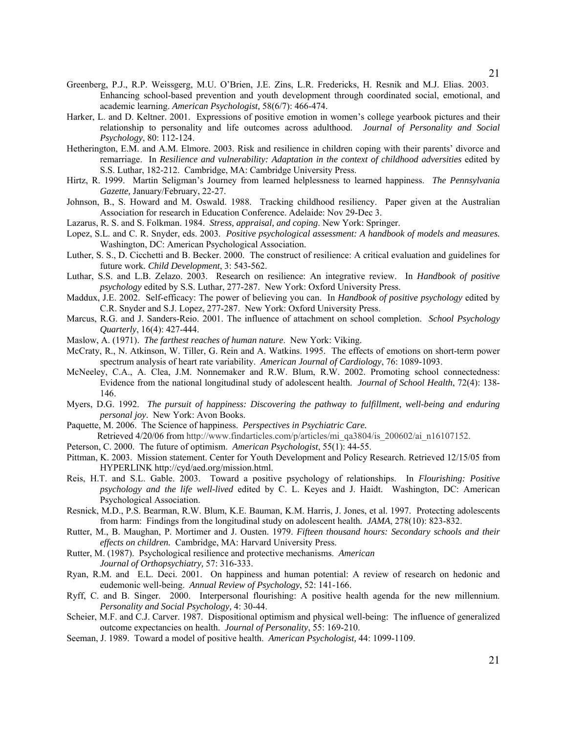- Greenberg, P.J., R.P. Weissgerg, M.U. O'Brien, J.E. Zins, L.R. Fredericks, H. Resnik and M.J. Elias. 2003. Enhancing school-based prevention and youth development through coordinated social, emotional, and academic learning. *American Psychologist,* 58(6/7): 466-474.
- Harker, L. and D. Keltner. 2001. Expressions of positive emotion in women's college yearbook pictures and their relationship to personality and life outcomes across adulthood. *Journal of Personality and Social Psychology*, 80: 112-124.
- Hetherington, E.M. and A.M. Elmore. 2003. Risk and resilience in children coping with their parents' divorce and remarriage. In *Resilience and vulnerability: Adaptation in the context of childhood adversities* edited by S.S. Luthar, 182-212. Cambridge, MA: Cambridge University Press.
- Hirtz, R. 1999. Martin Seligman's Journey from learned helplessness to learned happiness. *The Pennsylvania Gazette,* January/February, 22-27.
- Johnson, B., S. Howard and M. Oswald. 1988. Tracking childhood resiliency. Paper given at the Australian Association for research in Education Conference. Adelaide: Nov 29-Dec 3.
- Lazarus, R. S. and S. Folkman. 1984. *Stress, appraisal, and coping*. New York: Springer.
- Lopez, S.L. and C. R. Snyder, eds. 2003. *Positive psychological assessment: A handbook of models and measures.*  Washington, DC: American Psychological Association.
- Luther, S. S., D. Cicchetti and B. Becker. 2000. The construct of resilience: A critical evaluation and guidelines for future work*. Child Development*, 3: 543-562.
- Luthar, S.S. and L.B. Zelazo. 2003. Research on resilience: An integrative review. In *Handbook of positive psychology* edited by S.S. Luthar, 277-287. New York: Oxford University Press.
- Maddux, J.E. 2002. Self-efficacy: The power of believing you can. In *Handbook of positive psychology* edited by C.R. Snyder and S.J. Lopez, 277-287. New York: Oxford University Press.
- Marcus, R.G. and J. Sanders-Reio. 2001. The influence of attachment on school completion. *School Psychology Quarterly*, 16(4): 427-444.
- Maslow, A. (1971). *The farthest reaches of human nature*. New York: Viking.
- McCraty, R., N. Atkinson, W. Tiller, G. Rein and A. Watkins. 1995. The effects of emotions on short-term power spectrum analysis of heart rate variability. *American Journal of Cardiology*, 76: 1089-1093.
- McNeeley, C.A., A. Clea, J.M. Nonnemaker and R.W. Blum, R.W. 2002. Promoting school connectedness: Evidence from the national longitudinal study of adolescent health. *Journal of School Health*, 72(4): 138- 146.
- Myers, D.G. 1992. *The pursuit of happiness: Discovering the pathway to fulfillment, well-being and enduring personal joy*. New York: Avon Books.
- Paquette, M. 2006. The Science of happiness. *Perspectives in Psychiatric Care.*
- Retrieved 4/20/06 from http://www.findarticles.com/p/articles/mi\_qa3804/is\_200602/ai\_n16107152.
- Peterson, C. 2000. The future of optimism. *American Psychologist*, 55(1): 44-55.
- Pittman, K. 2003. Mission statement. Center for Youth Development and Policy Research. Retrieved 12/15/05 from HYPERLINK http://cyd/aed.org/mission.html.
- Reis, H.T. and S.L. Gable. 2003. Toward a positive psychology of relationships. In *Flourishing: Positive psychology and the life well-lived* edited by C. L. Keyes and J. Haidt. Washington, DC: American Psychological Association.
- Resnick, M.D., P.S. Bearman, R.W. Blum, K.E. Bauman, K.M. Harris, J. Jones, et al. 1997. Protecting adolescents from harm: Findings from the longitudinal study on adolescent health*. JAMA*, 278(10): 823-832.
- Rutter, M., B. Maughan, P. Mortimer and J. Ousten. 1979. *Fifteen thousand hours: Secondary schools and their effects on children.* Cambridge, MA: Harvard University Press.
- Rutter, M. (1987). Psychological resilience and protective mechanisms. *American Journal of Orthopsychiatry,* 57: 316-333.
- Ryan, R.M. and E.L. Deci. 2001. On happiness and human potential: A review of research on hedonic and eudemonic well-being. *Annual Review of Psychology*, 52: 141-166.
- Ryff, C. and B. Singer. 2000. Interpersonal flourishing: A positive health agenda for the new millennium. *Personality and Social Psychology,* 4: 30-44.
- Scheier, M.F. and C.J. Carver. 1987. Dispositional optimism and physical well-being: The influence of generalized outcome expectancies on health. *Journal of Personality*, 55: 169-210.
- Seeman, J. 1989. Toward a model of positive health. *American Psychologist,* 44: 1099-1109.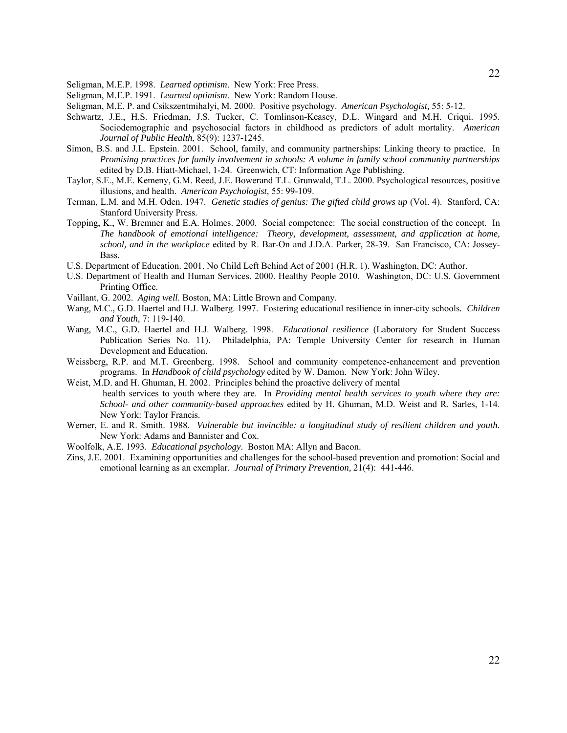Seligman, M.E.P. 1998. *Learned optimism*. New York: Free Press.

Seligman, M.E.P. 1991. *Learned optimism*. New York: Random House.

- Seligman, M.E. P. and Csikszentmihalyi, M. 2000. Positive psychology. *American Psychologist,* 55: 5-12.
- Schwartz, J.E., H.S. Friedman, J.S. Tucker, C. Tomlinson-Keasey, D.L. Wingard and M.H. Criqui. 1995. Sociodemographic and psychosocial factors in childhood as predictors of adult mortality. *American Journal of Public Health*, 85(9): 1237-1245.
- Simon, B.S. and J.L. Epstein. 2001. School, family, and community partnerships: Linking theory to practice. In *Promising practices for family involvement in schools: A volume in family school community partnerships* edited by D.B. Hiatt-Michael, 1-24. Greenwich, CT: Information Age Publishing.
- Taylor, S.E., M.E. Kemeny, G.M. Reed, J.E. Bowerand T.L. Grunwald, T.L. 2000. Psychological resources, positive illusions, and health. *American Psychologist,* 55: 99-109.
- Terman, L.M. and M.H. Oden. 1947. *Genetic studies of genius: The gifted child grows up* (Vol. 4). Stanford, CA: Stanford University Press.
- Topping, K., W. Bremner and E.A. Holmes. 2000. Social competence: The social construction of the concept. In *The handbook of emotional intelligence: Theory, development, assessment, and application at home, school, and in the workplace* edited by R. Bar-On and J.D.A. Parker, 28-39. San Francisco, CA: Jossey-Bass.
- U.S. Department of Education. 2001. No Child Left Behind Act of 2001 (H.R. 1). Washington, DC: Author.
- U.S. Department of Health and Human Services. 2000. Healthy People 2010. Washington, DC: U.S. Government Printing Office.
- Vaillant, G. 2002. *Aging well*. Boston, MA: Little Brown and Company.
- Wang, M.C., G.D. Haertel and H.J. Walberg. 1997. Fostering educational resilience in inner-city schools*. Children and Youth,* 7: 119-140.
- Wang, M.C., G.D. Haertel and H.J. Walberg. 1998. *Educational resilience* (Laboratory for Student Success Publication Series No. 11). Philadelphia, PA: Temple University Center for research in Human Development and Education.
- Weissberg, R.P. and M.T. Greenberg. 1998. School and community competence-enhancement and prevention programs. In *Handbook of child psychology* edited by W. Damon. New York: John Wiley.
- Weist, M.D. and H. Ghuman, H. 2002. Principles behind the proactive delivery of mental health services to youth where they are. In *Providing mental health services to youth where they are: School- and other community-based approaches* edited by H. Ghuman, M.D. Weist and R. Sarles, 1-14. New York: Taylor Francis.
- Werner, E. and R. Smith. 1988. *Vulnerable but invincible: a longitudinal study of resilient children and youth.* New York: Adams and Bannister and Cox.
- Woolfolk, A.E. 1993. *Educational psychology*. Boston MA: Allyn and Bacon.
- Zins, J.E. 2001. Examining opportunities and challenges for the school-based prevention and promotion: Social and emotional learning as an exemplar*. Journal of Primary Prevention,* 21(4): 441-446.